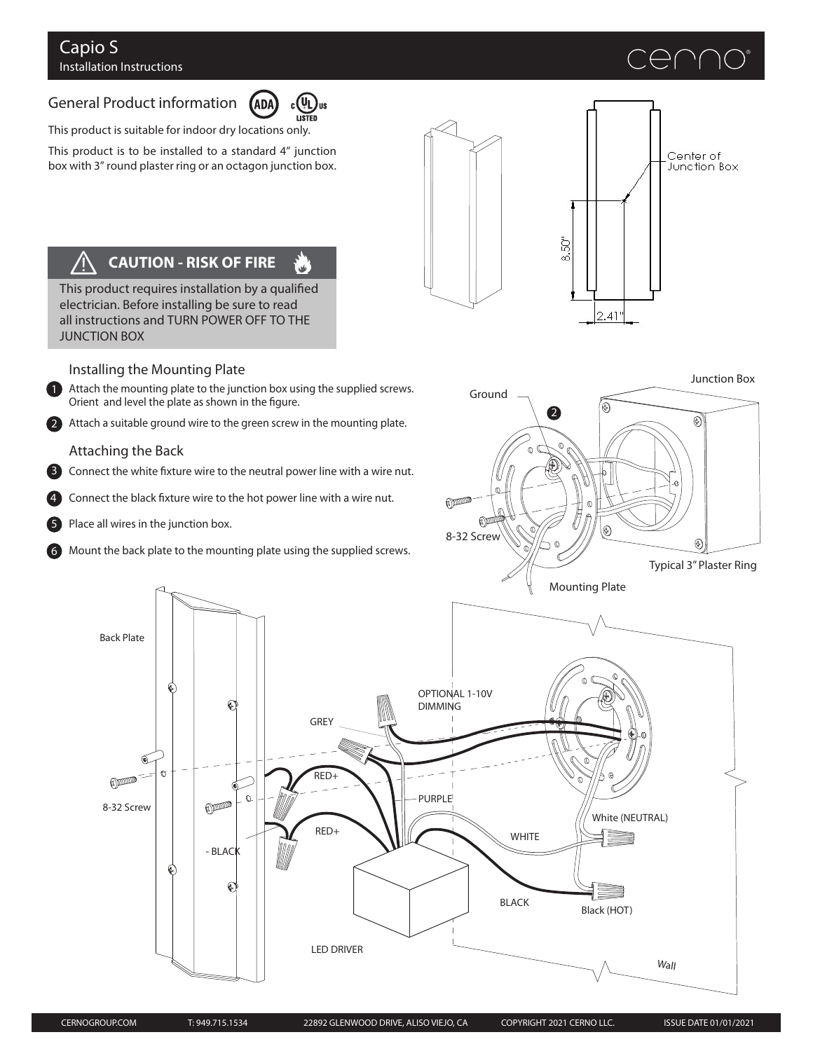### Capio S Installation Instructions

# デレ 八 八

# General Product information



r<br>Ma

This product is suitable for indoor dry locations only.

This product is to be installed to a standard 4" junction box with 3" round plaster ring or an octagon junction box.





#### **CAUTION - RISK OF FIRE**  $\sqrt{2}$

This product requires installation by a qualified electrician. Before installing be sure to read all instructions and TURN POWER OFF TO THE JUNCTION BOX

#### Installing the Mounting Plate

1 Attach the mounting plate to the junction box using the supplied screws. Orient and level the plate as shown in the figure.

Attach a suitable ground wire to the green screw in the mounting plate.

#### Attaching the Back

2

Connect the white fixture wire to the neutral power line with a wire nut. 3

Connect the black fixture wire to the hot power line with a wire nut. 4

Place all wires in the junction box. 5

Back Plate

8-32 Screw

 $\mathbb{O}$ 

 $\mathbb{G}$ 

6 Mount the back plate to the mounting plate using the supplied screws.

 $\odot$ 



- BLAC

€

 $\mathbb{O}$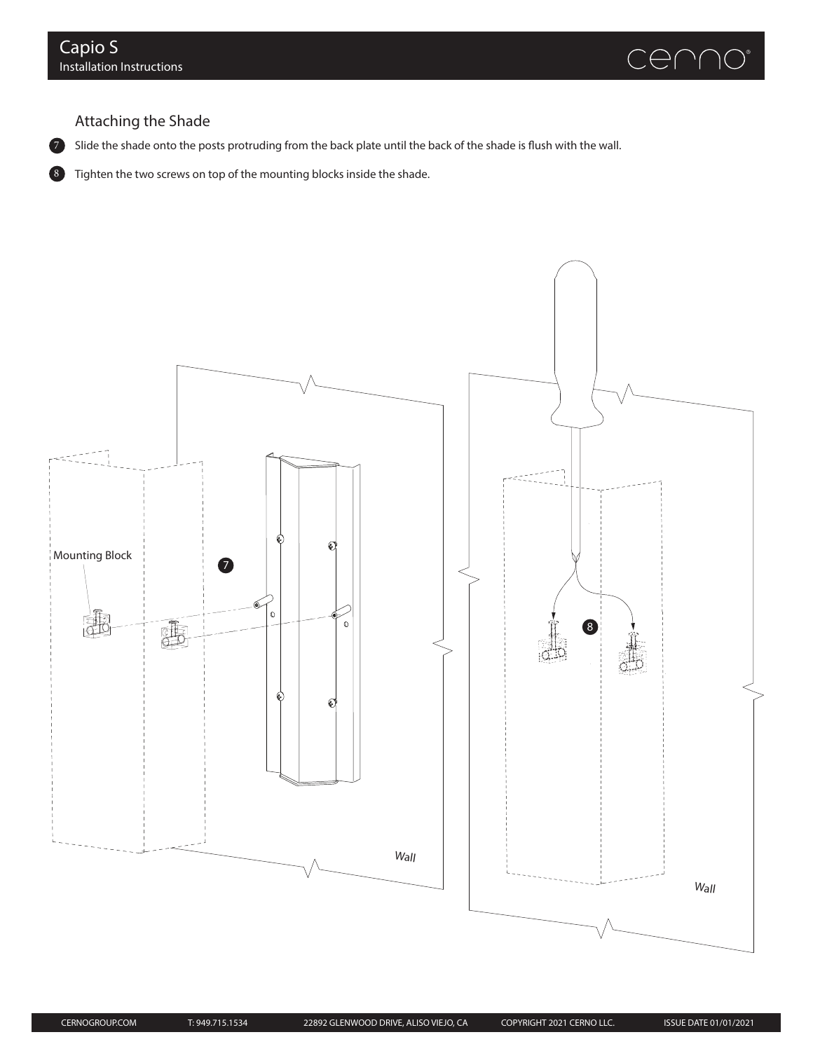7



## Attaching the Shade

Slide the shade onto the posts protruding from the back plate until the back of the shade is flush with the wall.

8 Tighten the two screws on top of the mounting blocks inside the shade.